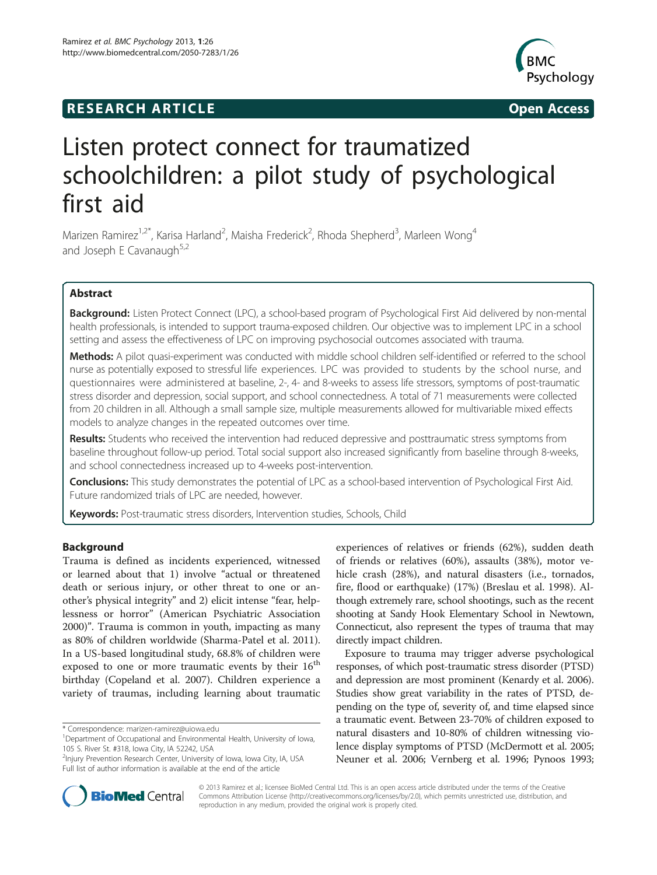# **RESEARCH ARTICLE Example 2014 The SEAR CH ACCESS**



# Listen protect connect for traumatized schoolchildren: a pilot study of psychological first aid

Marizen Ramirez<sup>1,2\*</sup>, Karisa Harland<sup>2</sup>, Maisha Frederick<sup>2</sup>, Rhoda Shepherd<sup>3</sup>, Marleen Wong<sup>4</sup> and Joseph E Cavanaugh $5,2$ 

# Abstract

Background: Listen Protect Connect (LPC), a school-based program of Psychological First Aid delivered by non-mental health professionals, is intended to support trauma-exposed children. Our objective was to implement LPC in a school setting and assess the effectiveness of LPC on improving psychosocial outcomes associated with trauma.

Methods: A pilot quasi-experiment was conducted with middle school children self-identified or referred to the school nurse as potentially exposed to stressful life experiences. LPC was provided to students by the school nurse, and questionnaires were administered at baseline, 2-, 4- and 8-weeks to assess life stressors, symptoms of post-traumatic stress disorder and depression, social support, and school connectedness. A total of 71 measurements were collected from 20 children in all. Although a small sample size, multiple measurements allowed for multivariable mixed effects models to analyze changes in the repeated outcomes over time.

Results: Students who received the intervention had reduced depressive and posttraumatic stress symptoms from baseline throughout follow-up period. Total social support also increased significantly from baseline through 8-weeks, and school connectedness increased up to 4-weeks post-intervention.

Conclusions: This study demonstrates the potential of LPC as a school-based intervention of Psychological First Aid. Future randomized trials of LPC are needed, however.

Keywords: Post-traumatic stress disorders, Intervention studies, Schools, Child

# Background

Trauma is defined as incidents experienced, witnessed or learned about that 1) involve "actual or threatened death or serious injury, or other threat to one or another's physical integrity" and 2) elicit intense "fear, helplessness or horror" (American Psychiatric Association [2000](#page-7-0))". Trauma is common in youth, impacting as many as 80% of children worldwide (Sharma-Patel et al. [2011](#page-8-0)). In a US-based longitudinal study, 68.8% of children were exposed to one or more traumatic events by their 16<sup>th</sup> birthday (Copeland et al. [2007](#page-7-0)). Children experience a variety of traumas, including learning about traumatic

\* Correspondence: [marizen-ramirez@uiowa.edu](mailto:marizen-ramirez@uiowa.edu) <sup>1</sup>

experiences of relatives or friends (62%), sudden death of friends or relatives (60%), assaults (38%), motor vehicle crash (28%), and natural disasters (i.e., tornados, fire, flood or earthquake) (17%) (Breslau et al. [1998\)](#page-7-0). Although extremely rare, school shootings, such as the recent shooting at Sandy Hook Elementary School in Newtown, Connecticut, also represent the types of trauma that may directly impact children.

Exposure to trauma may trigger adverse psychological responses, of which post-traumatic stress disorder (PTSD) and depression are most prominent (Kenardy et al. [2006](#page-8-0)). Studies show great variability in the rates of PTSD, depending on the type of, severity of, and time elapsed since a traumatic event. Between 23-70% of children exposed to natural disasters and 10-80% of children witnessing violence display symptoms of PTSD (McDermott et al. [2005](#page-8-0); Neuner et al. [2006;](#page-8-0) Vernberg et al. [1996](#page-8-0); Pynoos [1993](#page-8-0);



© 2013 Ramirez et al.; licensee BioMed Central Ltd. This is an open access article distributed under the terms of the Creative Commons Attribution License [\(http://creativecommons.org/licenses/by/2.0\)](http://creativecommons.org/licenses/by/2.0), which permits unrestricted use, distribution, and reproduction in any medium, provided the original work is properly cited.

Department of Occupational and Environmental Health, University of Iowa, 105 S. River St. #318, Iowa City, IA 52242, USA

<sup>2</sup> Injury Prevention Research Center, University of Iowa, Iowa City, IA, USA Full list of author information is available at the end of the article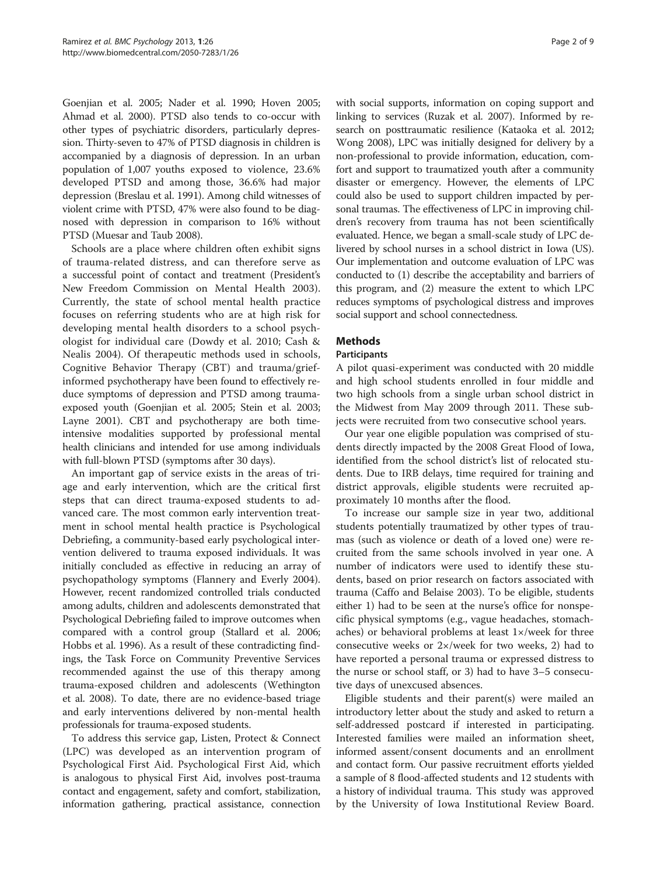Goenjian et al. [2005](#page-7-0); Nader et al. [1990](#page-8-0); Hoven [2005](#page-7-0); Ahmad et al. [2000\)](#page-7-0). PTSD also tends to co-occur with other types of psychiatric disorders, particularly depression. Thirty-seven to 47% of PTSD diagnosis in children is accompanied by a diagnosis of depression. In an urban population of 1,007 youths exposed to violence, 23.6% developed PTSD and among those, 36.6% had major depression (Breslau et al. [1991\)](#page-7-0). Among child witnesses of violent crime with PTSD, 47% were also found to be diagnosed with depression in comparison to 16% without PTSD (Muesar and Taub [2008\)](#page-8-0).

Schools are a place where children often exhibit signs of trauma-related distress, and can therefore serve as a successful point of contact and treatment (President's New Freedom Commission on Mental Health [2003](#page-8-0)). Currently, the state of school mental health practice focuses on referring students who are at high risk for developing mental health disorders to a school psychologist for individual care (Dowdy et al. [2010](#page-7-0); Cash & Nealis [2004\)](#page-7-0). Of therapeutic methods used in schools, Cognitive Behavior Therapy (CBT) and trauma/griefinformed psychotherapy have been found to effectively reduce symptoms of depression and PTSD among traumaexposed youth (Goenjian et al. [2005](#page-7-0); Stein et al. [2003](#page-8-0); Layne [2001](#page-8-0)). CBT and psychotherapy are both timeintensive modalities supported by professional mental health clinicians and intended for use among individuals with full-blown PTSD (symptoms after 30 days).

An important gap of service exists in the areas of triage and early intervention, which are the critical first steps that can direct trauma-exposed students to advanced care. The most common early intervention treatment in school mental health practice is Psychological Debriefing, a community-based early psychological intervention delivered to trauma exposed individuals. It was initially concluded as effective in reducing an array of psychopathology symptoms (Flannery and Everly [2004](#page-7-0)). However, recent randomized controlled trials conducted among adults, children and adolescents demonstrated that Psychological Debriefing failed to improve outcomes when compared with a control group (Stallard et al. [2006](#page-8-0); Hobbs et al. [1996](#page-7-0)). As a result of these contradicting findings, the Task Force on Community Preventive Services recommended against the use of this therapy among trauma-exposed children and adolescents (Wethington et al. [2008](#page-8-0)). To date, there are no evidence-based triage and early interventions delivered by non-mental health professionals for trauma-exposed students.

To address this service gap, Listen, Protect & Connect (LPC) was developed as an intervention program of Psychological First Aid. Psychological First Aid, which is analogous to physical First Aid, involves post-trauma contact and engagement, safety and comfort, stabilization, information gathering, practical assistance, connection

with social supports, information on coping support and linking to services (Ruzak et al. [2007\)](#page-8-0). Informed by research on posttraumatic resilience (Kataoka et al. [2012](#page-7-0); Wong [2008](#page-8-0)), LPC was initially designed for delivery by a non-professional to provide information, education, comfort and support to traumatized youth after a community disaster or emergency. However, the elements of LPC could also be used to support children impacted by personal traumas. The effectiveness of LPC in improving children's recovery from trauma has not been scientifically evaluated. Hence, we began a small-scale study of LPC delivered by school nurses in a school district in Iowa (US). Our implementation and outcome evaluation of LPC was conducted to (1) describe the acceptability and barriers of this program, and (2) measure the extent to which LPC reduces symptoms of psychological distress and improves social support and school connectedness.

# Methods

#### Participants

A pilot quasi-experiment was conducted with 20 middle and high school students enrolled in four middle and two high schools from a single urban school district in the Midwest from May 2009 through 2011. These subjects were recruited from two consecutive school years.

Our year one eligible population was comprised of students directly impacted by the 2008 Great Flood of Iowa, identified from the school district's list of relocated students. Due to IRB delays, time required for training and district approvals, eligible students were recruited approximately 10 months after the flood.

To increase our sample size in year two, additional students potentially traumatized by other types of traumas (such as violence or death of a loved one) were recruited from the same schools involved in year one. A number of indicators were used to identify these students, based on prior research on factors associated with trauma (Caffo and Belaise [2003](#page-7-0)). To be eligible, students either 1) had to be seen at the nurse's office for nonspecific physical symptoms (e.g., vague headaches, stomachaches) or behavioral problems at least  $1 \times$ /week for three consecutive weeks or 2×/week for two weeks, 2) had to have reported a personal trauma or expressed distress to the nurse or school staff, or 3) had to have 3–5 consecutive days of unexcused absences.

Eligible students and their parent(s) were mailed an introductory letter about the study and asked to return a self-addressed postcard if interested in participating. Interested families were mailed an information sheet, informed assent/consent documents and an enrollment and contact form. Our passive recruitment efforts yielded a sample of 8 flood-affected students and 12 students with a history of individual trauma. This study was approved by the University of Iowa Institutional Review Board.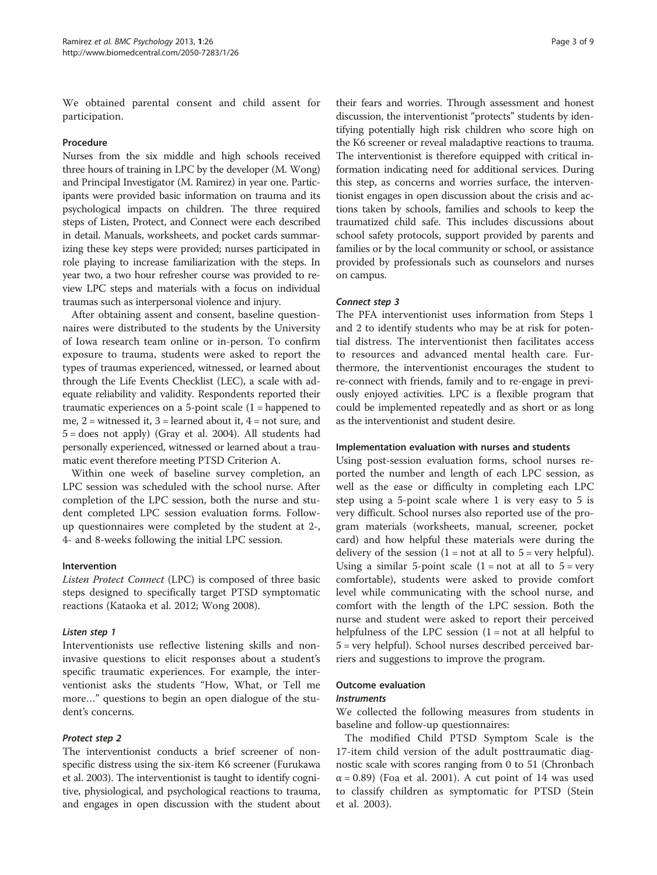We obtained parental consent and child assent for participation.

#### Procedure

Nurses from the six middle and high schools received three hours of training in LPC by the developer (M. Wong) and Principal Investigator (M. Ramirez) in year one. Participants were provided basic information on trauma and its psychological impacts on children. The three required steps of Listen, Protect, and Connect were each described in detail. Manuals, worksheets, and pocket cards summarizing these key steps were provided; nurses participated in role playing to increase familiarization with the steps. In year two, a two hour refresher course was provided to review LPC steps and materials with a focus on individual traumas such as interpersonal violence and injury.

After obtaining assent and consent, baseline questionnaires were distributed to the students by the University of Iowa research team online or in-person. To confirm exposure to trauma, students were asked to report the types of traumas experienced, witnessed, or learned about through the Life Events Checklist (LEC), a scale with adequate reliability and validity. Respondents reported their traumatic experiences on a 5-point scale  $(1 =$  happened to me,  $2$  = witnessed it,  $3$  = learned about it,  $4$  = not sure, and  $5 =$  does not apply) (Gray et al. [2004\)](#page-7-0). All students had personally experienced, witnessed or learned about a traumatic event therefore meeting PTSD Criterion A.

Within one week of baseline survey completion, an LPC session was scheduled with the school nurse. After completion of the LPC session, both the nurse and student completed LPC session evaluation forms. Followup questionnaires were completed by the student at 2-, 4- and 8-weeks following the initial LPC session.

# Intervention

Listen Protect Connect (LPC) is composed of three basic steps designed to specifically target PTSD symptomatic reactions (Kataoka et al. [2012;](#page-7-0) Wong [2008\)](#page-8-0).

#### Listen step 1

Interventionists use reflective listening skills and noninvasive questions to elicit responses about a student's specific traumatic experiences. For example, the interventionist asks the students "How, What, or Tell me more…" questions to begin an open dialogue of the student's concerns.

#### Protect step 2

The interventionist conducts a brief screener of nonspecific distress using the six-item K6 screener (Furukawa et al. [2003\)](#page-7-0). The interventionist is taught to identify cognitive, physiological, and psychological reactions to trauma, and engages in open discussion with the student about

their fears and worries. Through assessment and honest discussion, the interventionist "protects" students by identifying potentially high risk children who score high on the K6 screener or reveal maladaptive reactions to trauma. The interventionist is therefore equipped with critical information indicating need for additional services. During this step, as concerns and worries surface, the interventionist engages in open discussion about the crisis and actions taken by schools, families and schools to keep the traumatized child safe. This includes discussions about school safety protocols, support provided by parents and families or by the local community or school, or assistance provided by professionals such as counselors and nurses on campus.

#### Connect step 3

The PFA interventionist uses information from Steps 1 and 2 to identify students who may be at risk for potential distress. The interventionist then facilitates access to resources and advanced mental health care. Furthermore, the interventionist encourages the student to re-connect with friends, family and to re-engage in previously enjoyed activities. LPC is a flexible program that could be implemented repeatedly and as short or as long as the interventionist and student desire.

#### Implementation evaluation with nurses and students

Using post-session evaluation forms, school nurses reported the number and length of each LPC session, as well as the ease or difficulty in completing each LPC step using a 5-point scale where 1 is very easy to 5 is very difficult. School nurses also reported use of the program materials (worksheets, manual, screener, pocket card) and how helpful these materials were during the delivery of the session  $(1 = not at all to 5 = very helpful).$ Using a similar 5-point scale  $(1 = not at all to 5 = very$ comfortable), students were asked to provide comfort level while communicating with the school nurse, and comfort with the length of the LPC session. Both the nurse and student were asked to report their perceived helpfulness of the LPC session  $(1 = not at all helpful to$ 5 = very helpful). School nurses described perceived barriers and suggestions to improve the program.

#### Outcome evaluation

#### **Instruments**

We collected the following measures from students in baseline and follow-up questionnaires:

The modified Child PTSD Symptom Scale is the 17-item child version of the adult posttraumatic diagnostic scale with scores ranging from 0 to 51 (Chronbach  $\alpha$  = 0.89) (Foa et al. [2001](#page-7-0)). A cut point of 14 was used to classify children as symptomatic for PTSD (Stein et al. [2003\)](#page-8-0).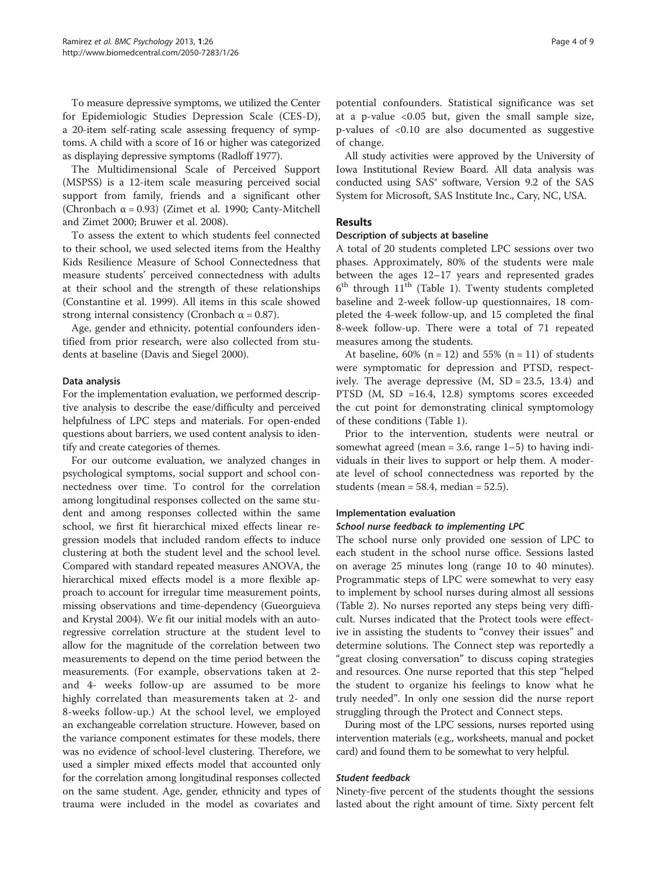To measure depressive symptoms, we utilized the Center for Epidemiologic Studies Depression Scale (CES-D), a 20-item self-rating scale assessing frequency of symptoms. A child with a score of 16 or higher was categorized as displaying depressive symptoms (Radloff [1977\)](#page-8-0).

The Multidimensional Scale of Perceived Support (MSPSS) is a 12-item scale measuring perceived social support from family, friends and a significant other (Chronbach  $\alpha$  = 0.93) (Zimet et al. [1990;](#page-8-0) Canty-Mitchell and Zimet [2000;](#page-7-0) Bruwer et al. [2008\)](#page-7-0).

To assess the extent to which students feel connected to their school, we used selected items from the Healthy Kids Resilience Measure of School Connectedness that measure students' perceived connectedness with adults at their school and the strength of these relationships (Constantine et al. [1999](#page-7-0)). All items in this scale showed strong internal consistency (Cronbach  $\alpha = 0.87$ ).

Age, gender and ethnicity, potential confounders identified from prior research, were also collected from students at baseline (Davis and Siegel [2000](#page-7-0)).

### Data analysis

For the implementation evaluation, we performed descriptive analysis to describe the ease/difficulty and perceived helpfulness of LPC steps and materials. For open-ended questions about barriers, we used content analysis to identify and create categories of themes.

For our outcome evaluation, we analyzed changes in psychological symptoms, social support and school connectedness over time. To control for the correlation among longitudinal responses collected on the same student and among responses collected within the same school, we first fit hierarchical mixed effects linear regression models that included random effects to induce clustering at both the student level and the school level. Compared with standard repeated measures ANOVA, the hierarchical mixed effects model is a more flexible approach to account for irregular time measurement points, missing observations and time-dependency (Gueorguieva and Krystal [2004\)](#page-7-0). We fit our initial models with an autoregressive correlation structure at the student level to allow for the magnitude of the correlation between two measurements to depend on the time period between the measurements. (For example, observations taken at 2 and 4- weeks follow-up are assumed to be more highly correlated than measurements taken at 2- and 8-weeks follow-up.) At the school level, we employed an exchangeable correlation structure. However, based on the variance component estimates for these models, there was no evidence of school-level clustering. Therefore, we used a simpler mixed effects model that accounted only for the correlation among longitudinal responses collected on the same student. Age, gender, ethnicity and types of trauma were included in the model as covariates and

potential confounders. Statistical significance was set at a p-value  $< 0.05$  but, given the small sample size, p-values of <0.10 are also documented as suggestive of change.

All study activities were approved by the University of Iowa Institutional Review Board. All data analysis was conducted using SAS® software, Version 9.2 of the SAS System for Microsoft, SAS Institute Inc., Cary, NC, USA.

# Results

#### Description of subjects at baseline

A total of 20 students completed LPC sessions over two phases. Approximately, 80% of the students were male between the ages 12–17 years and represented grades  $6<sup>th</sup>$  through  $11<sup>th</sup>$  (Table [1](#page-4-0)). Twenty students completed baseline and 2-week follow-up questionnaires, 18 completed the 4-week follow-up, and 15 completed the final 8-week follow-up. There were a total of 71 repeated measures among the students.

At baseline,  $60\%$  (n = 12) and 55% (n = 11) of students were symptomatic for depression and PTSD, respectively. The average depressive  $(M, SD = 23.5, 13.4)$  and PTSD (M, SD =16.4, 12.8) symptoms scores exceeded the cut point for demonstrating clinical symptomology of these conditions (Table [1\)](#page-4-0).

Prior to the intervention, students were neutral or somewhat agreed (mean  $=$  3.6, range 1–5) to having individuals in their lives to support or help them. A moderate level of school connectedness was reported by the students (mean =  $58.4$ , median =  $52.5$ ).

#### Implementation evaluation

#### School nurse feedback to implementing LPC

The school nurse only provided one session of LPC to each student in the school nurse office. Sessions lasted on average 25 minutes long (range 10 to 40 minutes). Programmatic steps of LPC were somewhat to very easy to implement by school nurses during almost all sessions (Table [2](#page-4-0)). No nurses reported any steps being very difficult. Nurses indicated that the Protect tools were effective in assisting the students to "convey their issues" and determine solutions. The Connect step was reportedly a "great closing conversation" to discuss coping strategies and resources. One nurse reported that this step "helped the student to organize his feelings to know what he truly needed". In only one session did the nurse report struggling through the Protect and Connect steps.

During most of the LPC sessions, nurses reported using intervention materials (e.g., worksheets, manual and pocket card) and found them to be somewhat to very helpful.

#### Student feedback

Ninety-five percent of the students thought the sessions lasted about the right amount of time. Sixty percent felt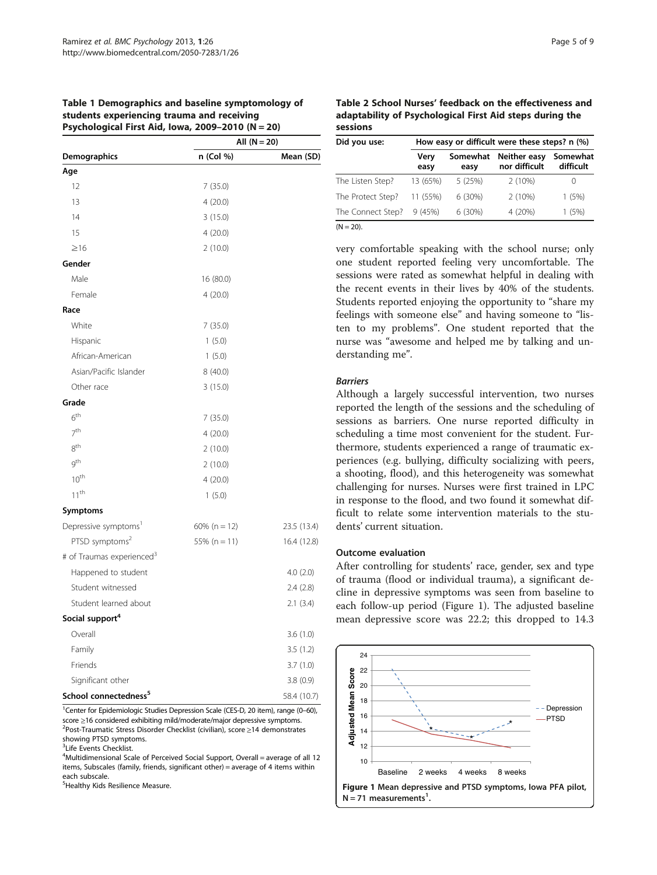<span id="page-4-0"></span>

| Table 1 Demographics and baseline symptomology of |
|---------------------------------------------------|
| students experiencing trauma and receiving        |
| Psychological First Aid, Iowa, 2009-2010 (N = 20) |

|                                       | All (N = 20)     |             |  |
|---------------------------------------|------------------|-------------|--|
| Demographics                          | n (Col %)        | Mean (SD)   |  |
| Age                                   |                  |             |  |
| 12                                    | 7(35.0)          |             |  |
| 13                                    | 4(20.0)          |             |  |
| 14                                    | 3(15.0)          |             |  |
| 15                                    | 4(20.0)          |             |  |
| $\geq 16$                             | 2(10.0)          |             |  |
| Gender                                |                  |             |  |
| Male                                  | 16 (80.0)        |             |  |
| Female                                | 4(20.0)          |             |  |
| Race                                  |                  |             |  |
| White                                 | 7(35.0)          |             |  |
| Hispanic                              | 1(5.0)           |             |  |
| African-American                      | 1(5.0)           |             |  |
| Asian/Pacific Islander                | 8 (40.0)         |             |  |
| Other race                            | 3(15.0)          |             |  |
| Grade                                 |                  |             |  |
| 6 <sup>th</sup>                       | 7(35.0)          |             |  |
| 7 <sup>th</sup>                       | 4(20.0)          |             |  |
| 8 <sup>th</sup>                       | 2(10.0)          |             |  |
| gth                                   | 2(10.0)          |             |  |
| $10^{th}$                             | 4(20.0)          |             |  |
| $11^{th}$                             | 1(5.0)           |             |  |
| Symptoms                              |                  |             |  |
| Depressive symptoms <sup>1</sup>      | 60% ( $n = 12$ ) | 23.5 (13.4) |  |
| PTSD symptoms <sup>2</sup>            | 55% ( $n = 11$ ) | 16.4 (12.8) |  |
| # of Traumas experienced <sup>3</sup> |                  |             |  |
| Happened to student                   |                  | 4.0(2.0)    |  |
| Student witnessed                     |                  | 2.4(2.8)    |  |
| Student learned about                 |                  | 2.1(3.4)    |  |
| Social support <sup>4</sup>           |                  |             |  |
| Overall                               |                  | 3.6(1.0)    |  |
| Family                                |                  | 3.5(1.2)    |  |
| Friends                               |                  | 3.7(1.0)    |  |
| Significant other                     |                  | 3.8(0.9)    |  |
| School connectedness <sup>5</sup>     |                  | 58.4 (10.7) |  |

<sup>1</sup>Center for Epidemiologic Studies Depression Scale (CES-D, 20 item), range (0–60), score <sup>≥</sup>16 considered exhibiting mild/moderate/major depressive symptoms. <sup>2</sup> <sup>2</sup>Post-Traumatic Stress Disorder Checklist (civilian), score ≥14 demonstrates showing PTSD symptoms.

3 Life Events Checklist.

<sup>4</sup>Multidimensional Scale of Perceived Social Support, Overall = average of all 12 items, Subscales (family, friends, significant other) = average of 4 items within each subscale.

<sup>5</sup>Healthy Kids Resilience Measure.

Table 2 School Nurses' feedback on the effectiveness and adaptability of Psychological First Aid steps during the sessions

| Did you use:      | How easy or difficult were these steps? n (%) |                  |                               |                       |
|-------------------|-----------------------------------------------|------------------|-------------------------------|-----------------------|
|                   | Very<br>easy                                  | Somewhat<br>easy | Neither easy<br>nor difficult | Somewhat<br>difficult |
| The Listen Step?  | 13 (65%)                                      | 5(25%)           | 2(10%)                        | $\cup$                |
| The Protect Step? | 11 (55%)                                      | 6(30%)           | 2(10%)                        | 1(5%)                 |
| The Connect Step? | 9(45%)                                        | 6(30%)           | 4 (20%)                       | 1(5%)                 |
| $(N = 20)$ .      |                                               |                  |                               |                       |

very comfortable speaking with the school nurse; only one student reported feeling very uncomfortable. The sessions were rated as somewhat helpful in dealing with the recent events in their lives by 40% of the students. Students reported enjoying the opportunity to "share my feelings with someone else" and having someone to "listen to my problems". One student reported that the nurse was "awesome and helped me by talking and understanding me".

#### Barriers

Although a largely successful intervention, two nurses reported the length of the sessions and the scheduling of sessions as barriers. One nurse reported difficulty in scheduling a time most convenient for the student. Furthermore, students experienced a range of traumatic experiences (e.g. bullying, difficulty socializing with peers, a shooting, flood), and this heterogeneity was somewhat challenging for nurses. Nurses were first trained in LPC in response to the flood, and two found it somewhat difficult to relate some intervention materials to the students' current situation.

#### Outcome evaluation

After controlling for students' race, gender, sex and type of trauma (flood or individual trauma), a significant decline in depressive symptoms was seen from baseline to each follow-up period (Figure 1). The adjusted baseline mean depressive score was 22.2; this dropped to 14.3

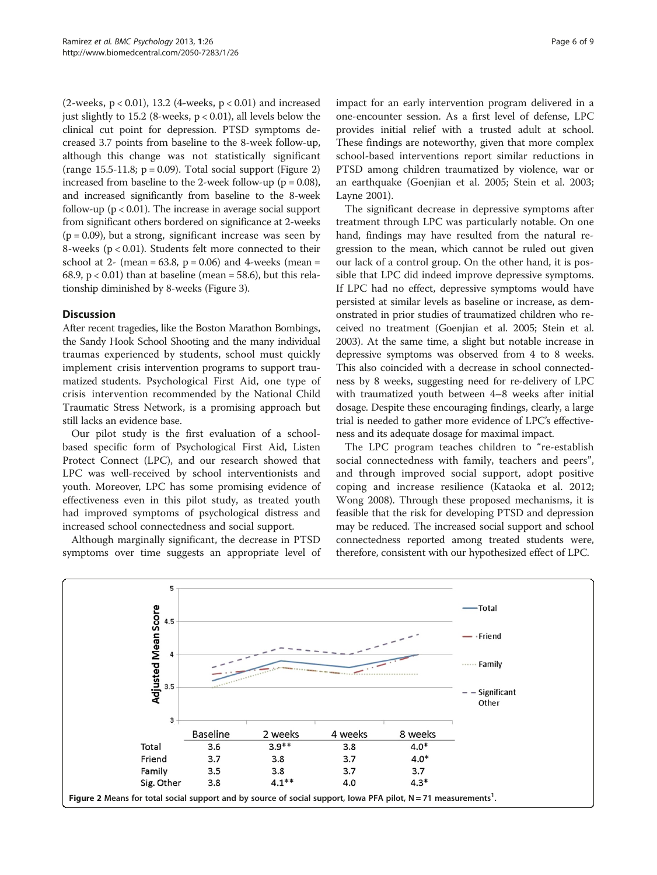(2-weeks,  $p < 0.01$ ), 13.2 (4-weeks,  $p < 0.01$ ) and increased just slightly to 15.2 (8-weeks, p < 0.01), all levels below the clinical cut point for depression. PTSD symptoms decreased 3.7 points from baseline to the 8-week follow-up, although this change was not statistically significant (range  $15.5-11.8$ ;  $p = 0.09$ ). Total social support (Figure 2) increased from baseline to the 2-week follow-up ( $p = 0.08$ ), and increased significantly from baseline to the 8-week follow-up ( $p < 0.01$ ). The increase in average social support from significant others bordered on significance at 2-weeks  $(p = 0.09)$ , but a strong, significant increase was seen by 8-weeks (p < 0.01). Students felt more connected to their school at 2- (mean =  $63.8$ , p = 0.06) and 4-weeks (mean = 68.9,  $p < 0.01$ ) than at baseline (mean = 58.6), but this relationship diminished by 8-weeks (Figure [3](#page-6-0)).

# **Discussion**

After recent tragedies, like the Boston Marathon Bombings, the Sandy Hook School Shooting and the many individual traumas experienced by students, school must quickly implement crisis intervention programs to support traumatized students. Psychological First Aid, one type of crisis intervention recommended by the National Child Traumatic Stress Network, is a promising approach but still lacks an evidence base.

Our pilot study is the first evaluation of a schoolbased specific form of Psychological First Aid, Listen Protect Connect (LPC), and our research showed that LPC was well-received by school interventionists and youth. Moreover, LPC has some promising evidence of effectiveness even in this pilot study, as treated youth had improved symptoms of psychological distress and increased school connectedness and social support.

Although marginally significant, the decrease in PTSD symptoms over time suggests an appropriate level of impact for an early intervention program delivered in a one-encounter session. As a first level of defense, LPC provides initial relief with a trusted adult at school. These findings are noteworthy, given that more complex school-based interventions report similar reductions in PTSD among children traumatized by violence, war or an earthquake (Goenjian et al. [2005](#page-7-0); Stein et al. [2003](#page-8-0); Layne [2001\)](#page-8-0).

The significant decrease in depressive symptoms after treatment through LPC was particularly notable. On one hand, findings may have resulted from the natural regression to the mean, which cannot be ruled out given our lack of a control group. On the other hand, it is possible that LPC did indeed improve depressive symptoms. If LPC had no effect, depressive symptoms would have persisted at similar levels as baseline or increase, as demonstrated in prior studies of traumatized children who received no treatment (Goenjian et al. [2005;](#page-7-0) Stein et al. [2003\)](#page-8-0). At the same time, a slight but notable increase in depressive symptoms was observed from 4 to 8 weeks. This also coincided with a decrease in school connectedness by 8 weeks, suggesting need for re-delivery of LPC with traumatized youth between 4–8 weeks after initial dosage. Despite these encouraging findings, clearly, a large trial is needed to gather more evidence of LPC's effectiveness and its adequate dosage for maximal impact.

The LPC program teaches children to "re-establish social connectedness with family, teachers and peers", and through improved social support, adopt positive coping and increase resilience (Kataoka et al. [2012](#page-7-0); Wong [2008\)](#page-8-0). Through these proposed mechanisms, it is feasible that the risk for developing PTSD and depression may be reduced. The increased social support and school connectedness reported among treated students were, therefore, consistent with our hypothesized effect of LPC.

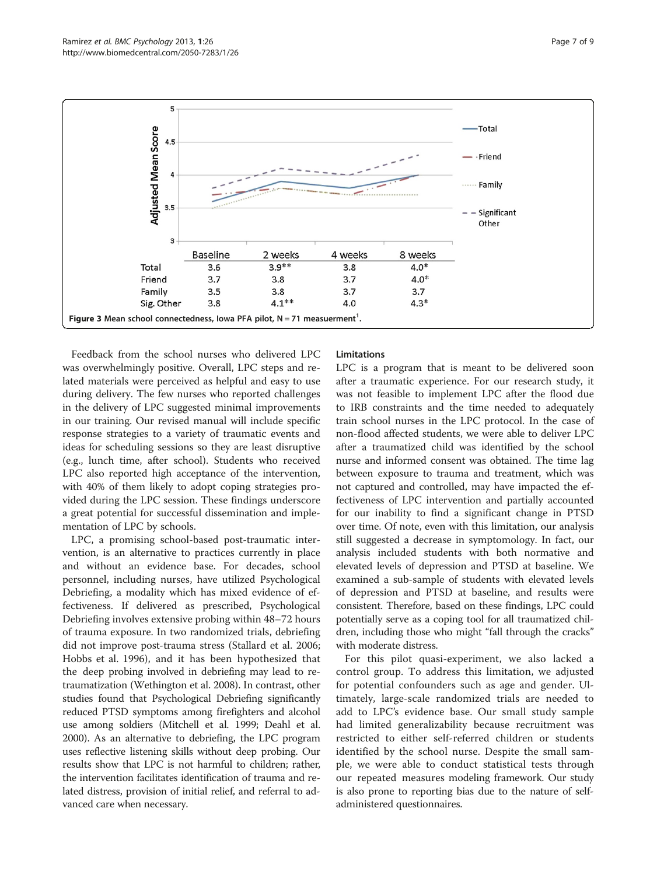<span id="page-6-0"></span>

Feedback from the school nurses who delivered LPC was overwhelmingly positive. Overall, LPC steps and related materials were perceived as helpful and easy to use during delivery. The few nurses who reported challenges in the delivery of LPC suggested minimal improvements in our training. Our revised manual will include specific response strategies to a variety of traumatic events and ideas for scheduling sessions so they are least disruptive (e.g., lunch time, after school). Students who received LPC also reported high acceptance of the intervention, with 40% of them likely to adopt coping strategies provided during the LPC session. These findings underscore a great potential for successful dissemination and implementation of LPC by schools.

LPC, a promising school-based post-traumatic intervention, is an alternative to practices currently in place and without an evidence base. For decades, school personnel, including nurses, have utilized Psychological Debriefing, a modality which has mixed evidence of effectiveness. If delivered as prescribed, Psychological Debriefing involves extensive probing within 48–72 hours of trauma exposure. In two randomized trials, debriefing did not improve post-trauma stress (Stallard et al. [2006](#page-8-0); Hobbs et al. [1996](#page-7-0)), and it has been hypothesized that the deep probing involved in debriefing may lead to retraumatization (Wethington et al. [2008\)](#page-8-0). In contrast, other studies found that Psychological Debriefing significantly reduced PTSD symptoms among firefighters and alcohol use among soldiers (Mitchell et al. [1999](#page-8-0); Deahl et al. [2000\)](#page-7-0). As an alternative to debriefing, the LPC program uses reflective listening skills without deep probing. Our results show that LPC is not harmful to children; rather, the intervention facilitates identification of trauma and related distress, provision of initial relief, and referral to advanced care when necessary.

# **Limitations**

LPC is a program that is meant to be delivered soon after a traumatic experience. For our research study, it was not feasible to implement LPC after the flood due to IRB constraints and the time needed to adequately train school nurses in the LPC protocol. In the case of non-flood affected students, we were able to deliver LPC after a traumatized child was identified by the school nurse and informed consent was obtained. The time lag between exposure to trauma and treatment, which was not captured and controlled, may have impacted the effectiveness of LPC intervention and partially accounted for our inability to find a significant change in PTSD over time. Of note, even with this limitation, our analysis still suggested a decrease in symptomology. In fact, our analysis included students with both normative and elevated levels of depression and PTSD at baseline. We examined a sub-sample of students with elevated levels of depression and PTSD at baseline, and results were consistent. Therefore, based on these findings, LPC could potentially serve as a coping tool for all traumatized children, including those who might "fall through the cracks" with moderate distress.

For this pilot quasi-experiment, we also lacked a control group. To address this limitation, we adjusted for potential confounders such as age and gender. Ultimately, large-scale randomized trials are needed to add to LPC's evidence base. Our small study sample had limited generalizability because recruitment was restricted to either self-referred children or students identified by the school nurse. Despite the small sample, we were able to conduct statistical tests through our repeated measures modeling framework. Our study is also prone to reporting bias due to the nature of selfadministered questionnaires.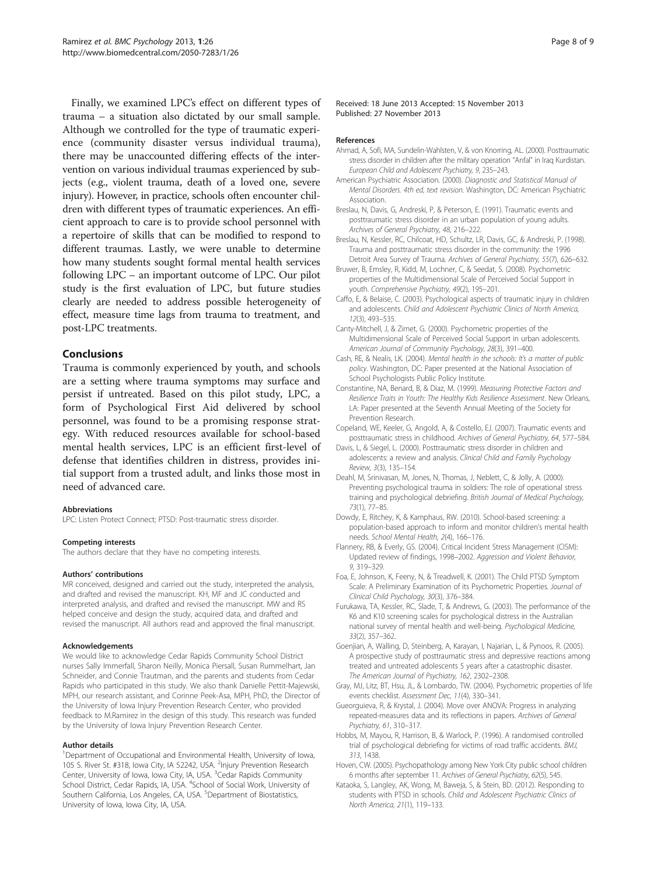<span id="page-7-0"></span>Finally, we examined LPC's effect on different types of trauma – a situation also dictated by our small sample. Although we controlled for the type of traumatic experience (community disaster versus individual trauma), there may be unaccounted differing effects of the intervention on various individual traumas experienced by subjects (e.g., violent trauma, death of a loved one, severe injury). However, in practice, schools often encounter children with different types of traumatic experiences. An efficient approach to care is to provide school personnel with a repertoire of skills that can be modified to respond to different traumas. Lastly, we were unable to determine how many students sought formal mental health services following LPC – an important outcome of LPC. Our pilot study is the first evaluation of LPC, but future studies clearly are needed to address possible heterogeneity of effect, measure time lags from trauma to treatment, and post-LPC treatments.

# Conclusions

Trauma is commonly experienced by youth, and schools are a setting where trauma symptoms may surface and persist if untreated. Based on this pilot study, LPC, a form of Psychological First Aid delivered by school personnel, was found to be a promising response strategy. With reduced resources available for school-based mental health services, LPC is an efficient first-level of defense that identifies children in distress, provides initial support from a trusted adult, and links those most in need of advanced care.

#### Abbreviations

LPC: Listen Protect Connect; PTSD: Post-traumatic stress disorder.

#### Competing interests

The authors declare that they have no competing interests.

#### Authors' contributions

MR conceived, designed and carried out the study, interpreted the analysis, and drafted and revised the manuscript. KH, MF and JC conducted and interpreted analysis, and drafted and revised the manuscript. MW and RS helped conceive and design the study, acquired data, and drafted and revised the manuscript. All authors read and approved the final manuscript.

#### Acknowledgements

We would like to acknowledge Cedar Rapids Community School District nurses Sally Immerfall, Sharon Neilly, Monica Piersall, Susan Rummelhart, Jan Schneider, and Connie Trautman, and the parents and students from Cedar Rapids who participated in this study. We also thank Danielle Pettit-Majewski, MPH, our research assistant, and Corinne Peek-Asa, MPH, PhD, the Director of the University of Iowa Injury Prevention Research Center, who provided feedback to M.Ramirez in the design of this study. This research was funded by the University of Iowa Injury Prevention Research Center.

#### Author details

<sup>1</sup>Department of Occupational and Environmental Health, University of Iowa, 105 S. River St. #318, Iowa City, IA 52242, USA. <sup>2</sup>Injury Prevention Research Center, University of Iowa, Iowa City, IA, USA. <sup>3</sup>Cedar Rapids Community School District, Cedar Rapids, IA, USA. <sup>4</sup>School of Social Work, University of Southern California, Los Angeles, CA, USA. <sup>5</sup>Department of Biostatistics, University of Iowa, Iowa City, IA, USA.

Received: 18 June 2013 Accepted: 15 November 2013 Published: 27 November 2013

#### References

- Ahmad, A, Sofi, MA, Sundelin-Wahlsten, V, & von Knorring, AL. (2000). Posttraumatic stress disorder in children after the military operation "Anfal" in Iraq Kurdistan. European Child and Adolescent Psychiatry, 9, 235–243.
- American Psychiatric Association. (2000). Diagnostic and Statistical Manual of Mental Disorders. 4th ed, text revision. Washington, DC: American Psychiatric Association.
- Breslau, N, Davis, G, Andreski, P, & Peterson, E. (1991). Traumatic events and posttraumatic stress disorder in an urban population of young adults. Archives of General Psychiatry, 48, 216–222.
- Breslau, N, Kessler, RC, Chilcoat, HD, Schultz, LR, Davis, GC, & Andreski, P. (1998). Trauma and posttraumatic stress disorder in the community: the 1996 Detroit Area Survey of Trauma. Archives of General Psychiatry, 55(7), 626–632.
- Bruwer, B, Emsley, R, Kidd, M, Lochner, C, & Seedat, S. (2008). Psychometric properties of the Multidimensional Scale of Perceived Social Support in youth. Comprehensive Psychiatry, 49(2), 195–201.
- Caffo, E, & Belaise, C. (2003). Psychological aspects of traumatic injury in children and adolescents. Child and Adolescent Psychiatric Clinics of North America, 12(3), 493–535.
- Canty-Mitchell, J, & Zimet, G. (2000). Psychometric properties of the Multidimensional Scale of Perceived Social Support in urban adolescents. American Journal of Community Psychology, 28(3), 391–400.
- Cash, RE, & Nealis, LK. (2004). Mental health in the schools: It's a matter of public policy. Washington, DC: Paper presented at the National Association of School Psychologists Public Policy Institute.
- Constantine, NA, Benard, B, & Diaz, M. (1999). Measuring Protective Factors and Resilience Traits in Youth: The Healthy Kids Resilience Assessment. New Orleans, LA: Paper presented at the Seventh Annual Meeting of the Society for Prevention Research.
- Copeland, WE, Keeler, G, Angold, A, & Costello, EJ. (2007). Traumatic events and posttraumatic stress in childhood. Archives of General Psychiatry, 64, 577–584.
- Davis, L, & Siegel, L. (2000). Posttraumatic stress disorder in children and adolescents: a review and analysis. Clinical Child and Family Psychology Review, 3(3), 135–154.
- Deahl, M, Srinivasan, M, Jones, N, Thomas, J, Neblett, C, & Jolly, A. (2000). Preventing psychological trauma in soldiers: The role of operational stress training and psychological debriefing. British Journal of Medical Psychology, 73(1), 77–85.
- Dowdy, E, Ritchey, K, & Kamphaus, RW. (2010). School-based screening: a population-based approach to inform and monitor children's mental health needs. School Mental Health, 2(4), 166–176.
- Flannery, RB, & Everly, GS. (2004). Critical Incident Stress Management (CISM): Updated review of findings, 1998–2002. Aggression and Violent Behavior, 9, 319–329.
- Foa, E, Johnson, K, Feeny, N, & Treadwell, K. (2001). The Child PTSD Symptom Scale: A Preliminary Examination of its Psychometric Properties. Journal of Clinical Child Psychology, 30(3), 376–384.
- Furukawa, TA, Kessler, RC, Slade, T, & Andrews, G. (2003). The performance of the K6 and K10 screening scales for psychological distress in the Australian national survey of mental health and well-being. Psychological Medicine, 33(2), 357–362.
- Goenjian, A, Walling, D, Steinberg, A, Karayan, I, Najarian, L, & Pynoos, R. (2005). A prospective study of posttraumatic stress and depressive reactions among treated and untreated adolescents 5 years after a catastrophic disaster. The American Journal of Psychiatry, 162, 2302–2308.
- Gray, MJ, Litz, BT, Hsu, JL, & Lombardo, TW. (2004). Psychometric properties of life events checklist. Assessment Dec, 11(4), 330–341.
- Gueorguieva, R, & Krystal, J. (2004). Move over ANOVA: Progress in analyzing repeated-measures data and its reflections in papers. Archives of General Psychiatry, 61, 310–317.
- Hobbs, M, Mayou, R, Harrison, B, & Warlock, P. (1996). A randomised controlled trial of psychological debriefing for victims of road traffic accidents. BMJ, 313, 1438.
- Hoven, CW. (2005). Psychopathology among New York City public school children 6 months after september 11. Archives of General Psychiatry, 62(5), 545.
- Kataoka, S, Langley, AK, Wong, M, Baweja, S, & Stein, BD. (2012). Responding to students with PTSD in schools. Child and Adolescent Psychiatric Clinics of North America, 21(1), 119–133.